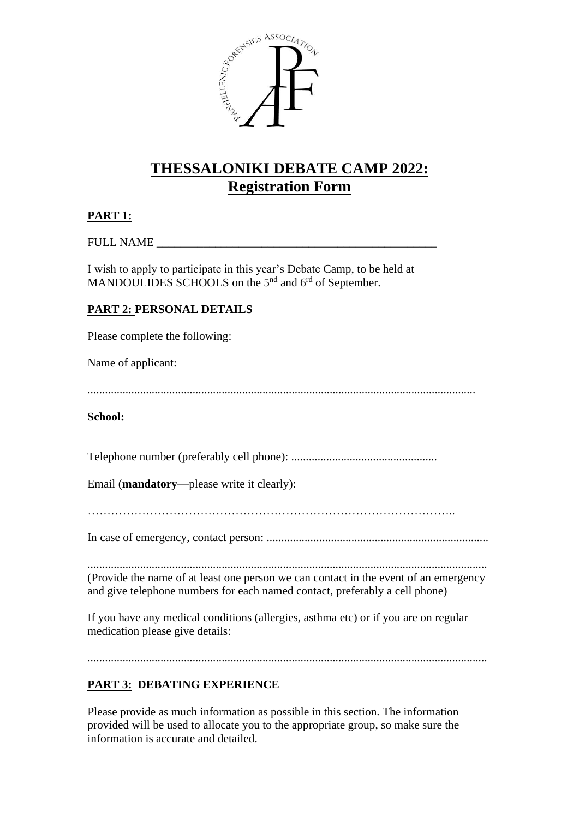

# **THESSALONIKI DEBATE CAMP 2022: Registration Form**

## **PART 1:**

#### FULL NAME \_\_\_\_\_\_\_\_\_\_\_\_\_\_\_\_\_\_\_\_\_\_\_\_\_\_\_\_\_\_\_\_\_\_\_\_\_\_\_\_\_\_\_\_\_\_\_\_

I wish to apply to participate in this year's Debate Camp, to be held at MANDOULIDES SCHOOLS on the 5<sup>nd</sup> and 6<sup>rd</sup> of September.

### **PART 2: PERSONAL DETAILS**

Please complete the following:

Name of applicant:

.....................................................................................................................................

#### **School:**

Telephone number (preferably cell phone): ..................................................

Email (**mandatory**—please write it clearly):

…………………………………………………………………………………..

In case of emergency, contact person: ............................................................................

......................................................................................................................................... (Provide the name of at least one person we can contact in the event of an emergency and give telephone numbers for each named contact, preferably a cell phone)

If you have any medical conditions (allergies, asthma etc) or if you are on regular medication please give details:

.........................................................................................................................................

## **PART 3: DEBATING EXPERIENCE**

Please provide as much information as possible in this section. The information provided will be used to allocate you to the appropriate group, so make sure the information is accurate and detailed.